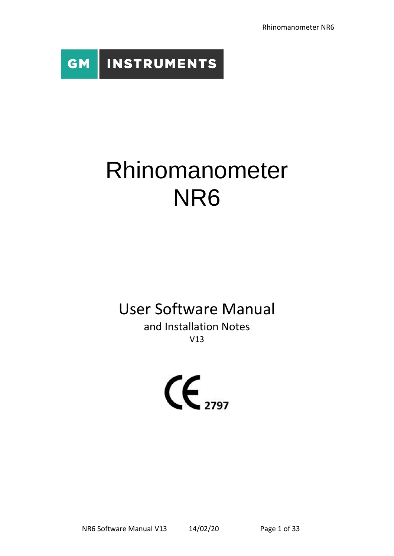Rhinomanometer NR6



# Rhinomanometer NR6

# User Software Manual

and Installation Notes V13

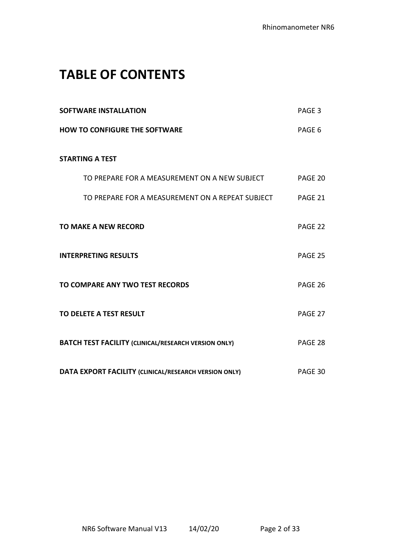### **TABLE OF CONTENTS**

| <b>SOFTWARE INSTALLATION</b>                                | PAGE <sub>3</sub> |
|-------------------------------------------------------------|-------------------|
| <b>HOW TO CONFIGURE THE SOFTWARE</b>                        | PAGE 6            |
| <b>STARTING A TEST</b>                                      |                   |
| TO PREPARE FOR A MEASUREMENT ON A NEW SUBJECT               | PAGE 20           |
| TO PREPARE FOR A MEASUREMENT ON A REPEAT SUBJECT            | PAGE 21           |
| <b>TO MAKE A NEW RECORD</b>                                 | PAGE 22           |
| <b>INTERPRETING RESULTS</b>                                 | PAGE 25           |
| TO COMPARE ANY TWO TEST RECORDS                             | PAGE 26           |
| TO DELETE A TEST RESULT                                     | PAGE 27           |
| <b>BATCH TEST FACILITY (CLINICAL/RESEARCH VERSION ONLY)</b> | PAGE 28           |
| DATA EXPORT FACILITY (CLINICAL/RESEARCH VERSION ONLY)       | PAGE 30           |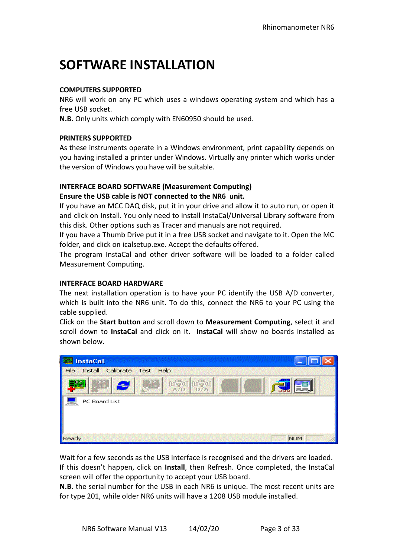# **SOFTWARE INSTALLATION**

#### **COMPUTERS SUPPORTED**

NR6 will work on any PC which uses a windows operating system and which has a free USB socket.

**N.B.** Only units which comply with EN60950 should be used.

#### **PRINTERS SUPPORTED**

As these instruments operate in a Windows environment, print capability depends on you having installed a printer under Windows. Virtually any printer which works under the version of Windows you have will be suitable.

### **INTERFACE BOARD SOFTWARE (Measurement Computing) Ensure the USB cable is NOT connected to the NR6 unit.**

If you have an MCC DAQ disk, put it in your drive and allow it to auto run, or open it and click on Install. You only need to install InstaCal/Universal Library software from this disk. Other options such as Tracer and manuals are not required.

If you have a Thumb Drive put it in a free USB socket and navigate to it. Open the MC folder, and click on icalsetup.exe. Accept the defaults offered.

The program InstaCal and other driver software will be loaded to a folder called Measurement Computing.

#### **INTERFACE BOARD HARDWARE**

The next installation operation is to have your PC identify the USB A/D converter, which is built into the NR6 unit. To do this, connect the NR6 to your PC using the cable supplied.

Click on the **Start button** and scroll down to **Measurement Computing**, select it and scroll down to **InstaCal** and click on it. **InstaCal** will show no boards installed as shown below.

| <b>InstaCal</b>                        |            |
|----------------------------------------|------------|
| Install Calibrate<br>Test Help<br>File |            |
|                                        |            |
| PC Board List                          |            |
|                                        |            |
|                                        |            |
|                                        |            |
| Ready                                  | <b>NUM</b> |

Wait for a few seconds as the USB interface is recognised and the drivers are loaded. If this doesn't happen, click on **Install**, then Refresh. Once completed, the InstaCal screen will offer the opportunity to accept your USB board.

**N.B.** the serial number for the USB in each NR6 is unique. The most recent units are for type 201, while older NR6 units will have a 1208 USB module installed.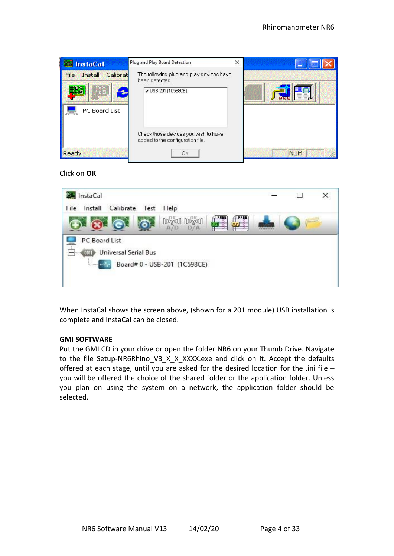

Click on **OK**



When InstaCal shows the screen above, (shown for a 201 module) USB installation is complete and InstaCal can be closed.

#### **GMI SOFTWARE**

Put the GMI CD in your drive or open the folder NR6 on your Thumb Drive. Navigate to the file Setup-NR6Rhino V3 X X XXXX.exe and click on it. Accept the defaults offered at each stage, until you are asked for the desired location for the .ini file – you will be offered the choice of the shared folder or the application folder. Unless you plan on using the system on a network, the application folder should be selected.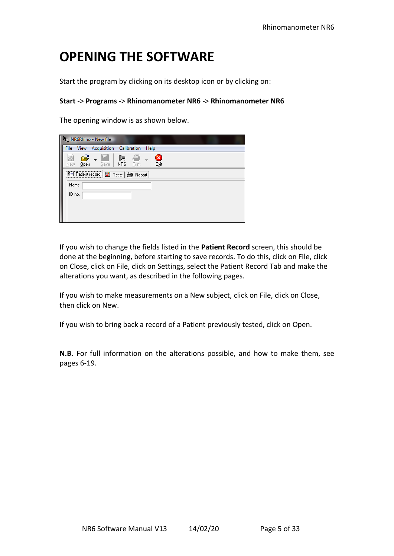# **OPENING THE SOFTWARE**

Start the program by clicking on its desktop icon or by clicking on:

#### **Start** -> **Programs** -> **Rhinomanometer NR6** -> **Rhinomanometer NR6**

The opening window is as shown below.

|        |      | <sup>9</sup> <sub>24</sub> NR6Rhino - New file       |    |                            |      |           |  |  |  |
|--------|------|------------------------------------------------------|----|----------------------------|------|-----------|--|--|--|
|        |      | File View Acquisition Calibration                    |    |                            | Help |           |  |  |  |
| New.   | Qpen | Save   NR6                                           | D≈ | $\blacklozenge$<br>- Print |      | B<br>Exit |  |  |  |
|        |      | <b>Ed Patient record   7</b> Tests   <b>@</b> Report |    |                            |      |           |  |  |  |
| Name   |      |                                                      |    |                            |      |           |  |  |  |
| ID no. |      |                                                      |    |                            |      |           |  |  |  |
|        |      |                                                      |    |                            |      |           |  |  |  |
|        |      |                                                      |    |                            |      |           |  |  |  |

If you wish to change the fields listed in the **Patient Record** screen, this should be done at the beginning, before starting to save records. To do this, click on File, click on Close, click on File, click on Settings, select the Patient Record Tab and make the alterations you want, as described in the following pages.

If you wish to make measurements on a New subject, click on File, click on Close, then click on New.

If you wish to bring back a record of a Patient previously tested, click on Open.

**N.B.** For full information on the alterations possible, and how to make them, see pages 6-19.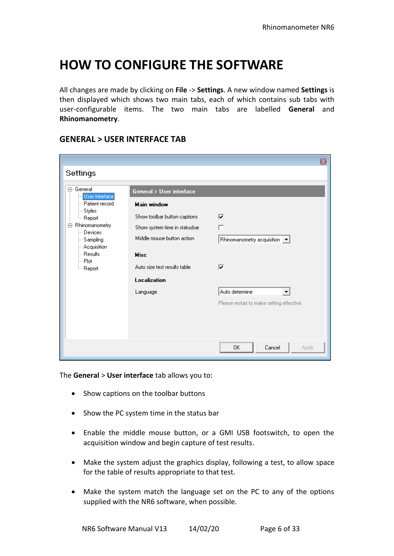### **HOW TO CONFIGURE THE SOFTWARE**

All changes are made by clicking on **File** -> **Settings**. A new window named **Settings** is then displayed which shows two main tabs, each of which contains sub tabs with user-configurable items. The two main tabs are labelled **General** and **Rhinomanometry**.

|                                                                                                                                                                                                    |                                                                                                                                                                                                                          | ø                                                                                                                                |
|----------------------------------------------------------------------------------------------------------------------------------------------------------------------------------------------------|--------------------------------------------------------------------------------------------------------------------------------------------------------------------------------------------------------------------------|----------------------------------------------------------------------------------------------------------------------------------|
| Settings                                                                                                                                                                                           |                                                                                                                                                                                                                          |                                                                                                                                  |
| ⊟- General<br>User interface<br>- Patient record<br>⊱ Styles<br><sub>≔</sub> Report<br>白 Rhinomanometry<br>— Devices<br>- Sampling<br>- Acquisition<br>— Results<br>l— Plot<br><sub>≔</sub> Report | General > User interface<br><b>Main window</b><br>Show toolbar button captions<br>Show system time in statusbar<br>Middle mouse button action<br><b>Misc</b><br>Auto size test results table<br>Localization<br>Language | ⊽<br>Rhinomanometry acquisition $\left  \bullet \right $<br>⊽<br>Auto determine<br>▼<br>Please restart to make setting effective |
|                                                                                                                                                                                                    |                                                                                                                                                                                                                          | 0K.<br>Cancel<br>Apply                                                                                                           |

### **GENERAL > USER INTERFACE TAB**

The **General** > **User interface** tab allows you to:

- Show captions on the toolbar buttons
- Show the PC system time in the status bar
- Enable the middle mouse button, or a GMI USB footswitch, to open the acquisition window and begin capture of test results.
- Make the system adjust the graphics display, following a test, to allow space for the table of results appropriate to that test.
- Make the system match the language set on the PC to any of the options supplied with the NR6 software, when possible.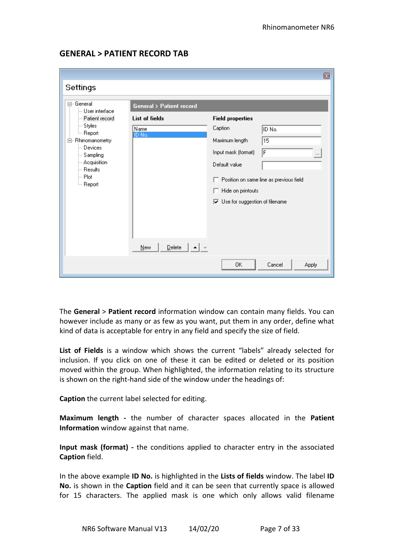### **GENERAL > PATIENT RECORD TAB**

|                                                 |                                    |                                                              | ▣                                       |
|-------------------------------------------------|------------------------------------|--------------------------------------------------------------|-----------------------------------------|
| Settings                                        |                                    |                                                              |                                         |
| 日· General<br>└─ User interface                 | <b>General &gt; Patient record</b> |                                                              |                                         |
| - Patient record                                | <b>List of fields</b>              | <b>Field properties</b>                                      |                                         |
| ⊱ Styles<br>└─ Report                           | Name<br>ID No.                     | Caption                                                      | ID No.                                  |
| 白 Rhinomanometry                                |                                    | Maximum length                                               | 15                                      |
| - Devices<br>--- Sampling                       |                                    | Input mask (format)                                          | F<br>$\cdots$                           |
| --- Acquisition                                 |                                    | Default value                                                |                                         |
| <sup>i</sup> — Resultsi<br>⊧– Plot<br>└─ Report |                                    | Hide on printouts<br>$\nabla$ Use for suggestion of filename | Position on same line as previous field |
|                                                 | Delete<br>New                      |                                                              |                                         |
|                                                 |                                    | 0K                                                           | Cancel<br>Apply                         |

The **General** > **Patient record** information window can contain many fields. You can however include as many or as few as you want, put them in any order, define what kind of data is acceptable for entry in any field and specify the size of field.

**List of Fields** is a window which shows the current "labels" already selected for inclusion. If you click on one of these it can be edited or deleted or its position moved within the group. When highlighted, the information relating to its structure is shown on the right-hand side of the window under the headings of:

**Caption** the current label selected for editing.

**Maximum length -** the number of character spaces allocated in the **Patient Information** window against that name.

**Input mask (format) -** the conditions applied to character entry in the associated **Caption** field.

In the above example **ID No.** is highlighted in the **Lists of fields** window. The label **ID No.** is shown in the **Caption** field and it can be seen that currently space is allowed for 15 characters. The applied mask is one which only allows valid filename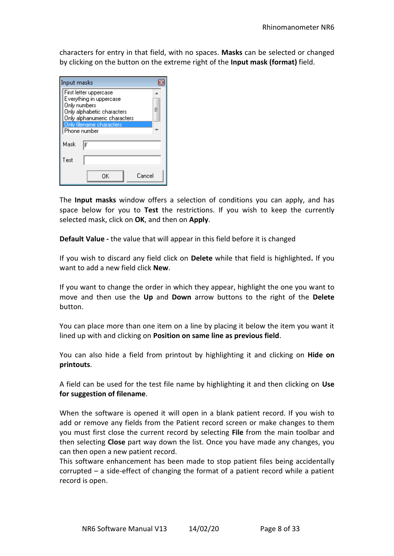characters for entry in that field, with no spaces. **Masks** can be selected or changed by clicking on the button on the extreme right of the **Input mask (format)** field.

| Input masks                                              |   |  |  |
|----------------------------------------------------------|---|--|--|
| First letter uppercase                                   |   |  |  |
| Everything in uppercase<br>Only numbers                  |   |  |  |
| Only alphabetic characters                               | Ξ |  |  |
| Only alphanumeric characters<br>Only filename characters |   |  |  |
| Phone number                                             |   |  |  |
| Mask<br>F                                                |   |  |  |
| Test                                                     |   |  |  |
| Cancel<br>ΩK                                             |   |  |  |

The **Input masks** window offers a selection of conditions you can apply, and has space below for you to **Test** the restrictions. If you wish to keep the currently selected mask, click on **OK**, and then on **Apply**.

**Default Value -** the value that will appear in this field before it is changed

If you wish to discard any field click on **Delete** while that field is highlighted**.** If you want to add a new field click **New**.

If you want to change the order in which they appear, highlight the one you want to move and then use the **Up** and **Down** arrow buttons to the right of the **Delete**  button.

You can place more than one item on a line by placing it below the item you want it lined up with and clicking on **Position on same line as previous field**.

You can also hide a field from printout by highlighting it and clicking on **Hide on printouts**.

A field can be used for the test file name by highlighting it and then clicking on **Use for suggestion of filename**.

When the software is opened it will open in a blank patient record. If you wish to add or remove any fields from the Patient record screen or make changes to them you must first close the current record by selecting **File** from the main toolbar and then selecting **Close** part way down the list. Once you have made any changes, you can then open a new patient record.

This software enhancement has been made to stop patient files being accidentally corrupted – a side-effect of changing the format of a patient record while a patient record is open.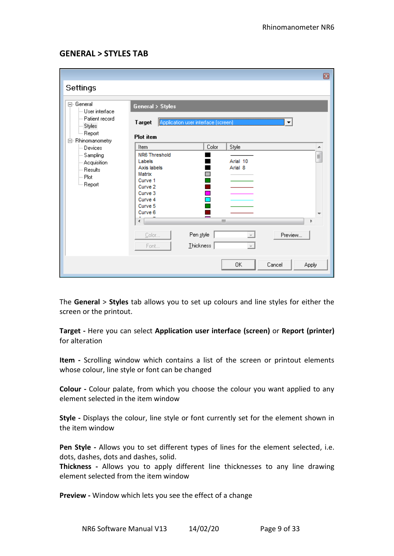### **GENERAL > STYLES TAB**

|                                                                                                                                                                                                             |                                                                                                                                                                                                                                                                 | ▣ |
|-------------------------------------------------------------------------------------------------------------------------------------------------------------------------------------------------------------|-----------------------------------------------------------------------------------------------------------------------------------------------------------------------------------------------------------------------------------------------------------------|---|
| Settings                                                                                                                                                                                                    |                                                                                                                                                                                                                                                                 |   |
| 日· General<br>└─ User interface<br>- Patient record<br>⊱ Styles<br>└ Report<br>白· Rhinomanometry<br>└─ Devices<br>- Sampling<br>- Acquisition<br><sup>i</sup> — Results<br>i--- Plot<br><sub>i</sub> Report | <b>General &gt; Styles</b><br>Application user interface (screen)<br>Target<br>▼<br><b>Plot</b> item<br>Color<br>Style<br>Item<br>۸<br>NR6 Threshold<br>E<br>Arial 10<br>Labels<br>Axis labels<br>Arial 8<br>Matrix<br>Curve 1<br>Curve <sub>2</sub><br>Curve 3 |   |
|                                                                                                                                                                                                             | Curve 4<br>Curve 5<br>Curve 6<br>Ш<br>r<br>Pen style<br>Preview<br>Color<br>Ihickness<br>Font<br>Cancel<br>0K<br>Apply                                                                                                                                          |   |

The **General** > **Styles** tab allows you to set up colours and line styles for either the screen or the printout.

**Target -** Here you can select **Application user interface (screen)** or **Report (printer)** for alteration

**Item -** Scrolling window which contains a list of the screen or printout elements whose colour, line style or font can be changed

**Colour -** Colour palate, from which you choose the colour you want applied to any element selected in the item window

**Style -** Displays the colour, line style or font currently set for the element shown in the item window

**Pen Style -** Allows you to set different types of lines for the element selected, i.e. dots, dashes, dots and dashes, solid.

**Thickness -** Allows you to apply different line thicknesses to any line drawing element selected from the item window

**Preview -** Window which lets you see the effect of a change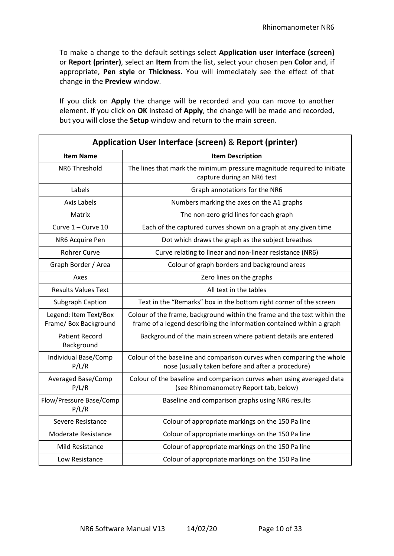To make a change to the default settings select **Application user interface (screen)** or **Report (printer)**, select an **Item** from the list, select your chosen pen **Color** and, if appropriate, **Pen style** or **Thickness.** You will immediately see the effect of that change in the **Preview** window.

If you click on **Apply** the change will be recorded and you can move to another element. If you click on **OK** instead of **Apply**, the change will be made and recorded, but you will close the **Setup** window and return to the main screen.

| Application User Interface (screen) & Report (printer) |                                                                                                                                                   |  |  |  |
|--------------------------------------------------------|---------------------------------------------------------------------------------------------------------------------------------------------------|--|--|--|
| <b>Item Name</b>                                       | <b>Item Description</b>                                                                                                                           |  |  |  |
| NR6 Threshold                                          | The lines that mark the minimum pressure magnitude required to initiate<br>capture during an NR6 test                                             |  |  |  |
| Labels                                                 | Graph annotations for the NR6                                                                                                                     |  |  |  |
| Axis Labels                                            | Numbers marking the axes on the A1 graphs                                                                                                         |  |  |  |
| Matrix                                                 | The non-zero grid lines for each graph                                                                                                            |  |  |  |
| Curve 1 - Curve 10                                     | Each of the captured curves shown on a graph at any given time                                                                                    |  |  |  |
| NR6 Acquire Pen                                        | Dot which draws the graph as the subject breathes                                                                                                 |  |  |  |
| <b>Rohrer Curve</b>                                    | Curve relating to linear and non-linear resistance (NR6)                                                                                          |  |  |  |
| Graph Border / Area                                    | Colour of graph borders and background areas                                                                                                      |  |  |  |
| Axes                                                   | Zero lines on the graphs                                                                                                                          |  |  |  |
| <b>Results Values Text</b>                             | All text in the tables                                                                                                                            |  |  |  |
| Subgraph Caption                                       | Text in the "Remarks" box in the bottom right corner of the screen                                                                                |  |  |  |
| Legend: Item Text/Box<br>Frame/ Box Background         | Colour of the frame, background within the frame and the text within the<br>frame of a legend describing the information contained within a graph |  |  |  |
| <b>Patient Record</b><br>Background                    | Background of the main screen where patient details are entered                                                                                   |  |  |  |
| Individual Base/Comp<br>P/L/R                          | Colour of the baseline and comparison curves when comparing the whole<br>nose (usually taken before and after a procedure)                        |  |  |  |
| Averaged Base/Comp<br>P/L/R                            | Colour of the baseline and comparison curves when using averaged data<br>(see Rhinomanometry Report tab, below)                                   |  |  |  |
| Flow/Pressure Base/Comp<br>P/L/R                       | Baseline and comparison graphs using NR6 results                                                                                                  |  |  |  |
| Severe Resistance                                      | Colour of appropriate markings on the 150 Pa line                                                                                                 |  |  |  |
| <b>Moderate Resistance</b>                             | Colour of appropriate markings on the 150 Pa line                                                                                                 |  |  |  |
| Mild Resistance                                        | Colour of appropriate markings on the 150 Pa line                                                                                                 |  |  |  |
| Low Resistance                                         | Colour of appropriate markings on the 150 Pa line                                                                                                 |  |  |  |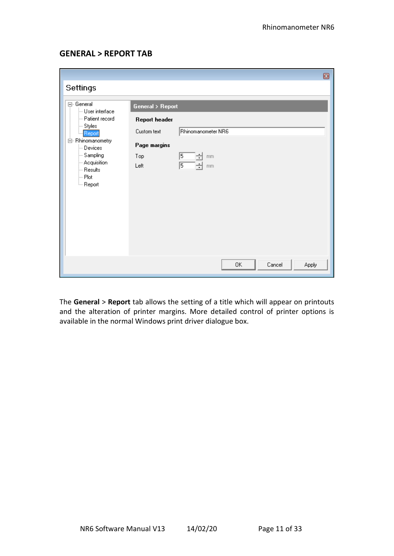### **GENERAL > REPORT TAB**

|                                                                                                                                                                                               |                                                                                                                                        | ◙ |
|-----------------------------------------------------------------------------------------------------------------------------------------------------------------------------------------------|----------------------------------------------------------------------------------------------------------------------------------------|---|
| Settings                                                                                                                                                                                      |                                                                                                                                        |   |
| ⊟-General<br>$-$ User interface<br>- Patient record<br>-- Styles<br>- Report<br>白 Rhinomanometry<br>— Devices<br>- Sampling<br>- Acquisition<br>∫— Resultsi<br>⊸ Plot<br><sup>L…</sup> Report | General > Report<br>Report header<br>Rhinomanometer NR6<br>Custom text<br>Page margins<br>5<br>Top<br>mm<br>∓<br>15<br>÷<br>Left<br>mm |   |
|                                                                                                                                                                                               | 0K<br>Cancel<br>Apply                                                                                                                  |   |

The **General** > **Report** tab allows the setting of a title which will appear on printouts and the alteration of printer margins. More detailed control of printer options is available in the normal Windows print driver dialogue box.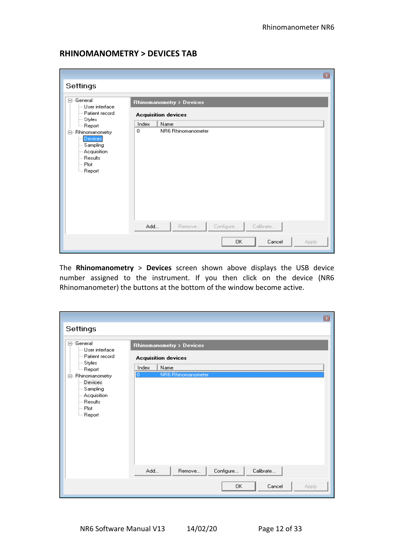### **RHINOMANOMETRY > DEVICES TAB**

|                                                                                                                                                                                                           |                                                                                                                                                         | 同 |
|-----------------------------------------------------------------------------------------------------------------------------------------------------------------------------------------------------------|---------------------------------------------------------------------------------------------------------------------------------------------------------|---|
| Settings                                                                                                                                                                                                  |                                                                                                                                                         |   |
| 日· General<br>$-$ User interface<br>- Patient record<br> -- Styles<br><sup>L…</sup> Report<br>白 Rhinomanometry<br>Devices<br>- Sampling<br>--- Acquisition<br>— Results<br>!… Plot<br><sub>i</sub> Report | Rhinomanometry > Devices<br><b>Acquisition devices</b><br>Index<br>Name<br>$\mathbf 0$<br>NR6 Rhinomanometer<br>Configure<br>Calibrate<br>Add<br>Remove |   |
|                                                                                                                                                                                                           | 0K<br>Cancel<br>Apply                                                                                                                                   |   |

The **Rhinomanometry** > **Devices** screen shown above displays the USB device number assigned to the instrument. If you then click on the device (NR6 Rhinomanometer) the buttons at the bottom of the window become active.

|                                                                                                                                                                                                                                                                                                                                                                                                                                                                                                                                                                                                                                                           |                                                                                                                                               | ▣ |
|-----------------------------------------------------------------------------------------------------------------------------------------------------------------------------------------------------------------------------------------------------------------------------------------------------------------------------------------------------------------------------------------------------------------------------------------------------------------------------------------------------------------------------------------------------------------------------------------------------------------------------------------------------------|-----------------------------------------------------------------------------------------------------------------------------------------------|---|
| Settings                                                                                                                                                                                                                                                                                                                                                                                                                                                                                                                                                                                                                                                  |                                                                                                                                               |   |
| 日· General<br>$\mathrel{\mathop{\rule{0pt}{0.5ex}\hbox{--}}\mathrel{\mathop{\rule{0pt}{0.5ex}}\hbox{--}}\mathrel{\mathop{\rule{0pt}{0.5ex}\hbox{--}}\mathrel{\mathop{\rule{0pt}{0.5ex}}\hbox{--}}\mathrel{\mathop{\rule{0pt}{0.5ex}\hbox{--}}\mathrel{\mathop{\rule{0pt}{0.5ex}}\hbox{--}}\mathrel{\mathop{\rule{0pt}{0.5ex}\hbox{--}}\mathrel{\mathop{\rule{0pt}{0.5ex}}\hbox{--}}\mathrel{\mathop{\rule{0pt}{0.5ex}\hbox{--}}\mathrel{\mathop{\rule{0pt}{0.5ex}}\$<br>- Patient record<br>∣— Styles<br><sup>i</sup> Report<br>白 Rhinomanometry<br>Devices<br>- Sampling<br>--- Acquisition<br><sup>i</sup> — Resultsi<br>i… Plot<br><sub>i</sub> Report | Rhinomanometry > Devices<br><b>Acquisition devices</b><br>Name<br>Index<br>NR6 Rhinomanometer<br>Ю<br>Configure<br>Calibrate<br>Add<br>Remove |   |
|                                                                                                                                                                                                                                                                                                                                                                                                                                                                                                                                                                                                                                                           | OK.<br>Cancel<br>Apply                                                                                                                        |   |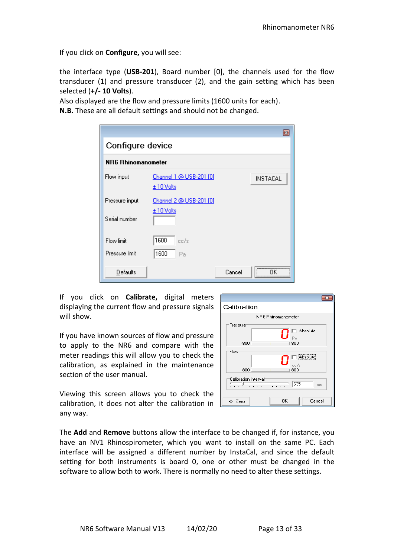If you click on **Configure,** you will see:

the interface type (**USB-201**), Board number [0], the channels used for the flow transducer (1) and pressure transducer (2), and the gain setting which has been selected (**+/- 10 Volts**).

Also displayed are the flow and pressure limits (1600 units for each).

**N.B.** These are all default settings and should not be changed.

|                    | $\overline{\mathbf{z}}$                                         |
|--------------------|-----------------------------------------------------------------|
| Configure device   |                                                                 |
| NR6 Rhinomanometer |                                                                 |
| Flow input         | Channel 1 @ USB-201 [0]<br><b>INSTACAL</b><br><u>± 10 Volts</u> |
| Pressure input     | Channel 2 @ USB-201 [0]                                         |
| Serial number      | $± 10$ Volts                                                    |
| Flow limit         | 1600<br>cc/s                                                    |
| Pressure limit     | 1600<br>Pa                                                      |
| Defaults           | <br>Cancel<br>                                                  |

If you click on **Calibrate,** digital meters displaying the current flow and pressure signals will show.

If you have known sources of flow and pressure to apply to the NR6 and compare with the meter readings this will allow you to check the calibration, as explained in the maintenance section of the user manual.

Viewing this screen allows you to check the calibration, it does not alter the calibration in any way.

| Calibration           |                    |                                   |
|-----------------------|--------------------|-----------------------------------|
|                       | NB6 Bhinomanometer |                                   |
| Pressure<br>$-800$    | Pa<br>800          | $\overline{\phantom{a}}$ Absolute |
| Flow<br>$-800$        | cc/s<br>800        | Absolute                          |
| Calibration interval: | 635<br>.           | ms                                |
| ⊘ Zero                | OK                 | Cancel                            |

The **Add** and **Remove** buttons allow the interface to be changed if, for instance, you have an NV1 Rhinospirometer, which you want to install on the same PC. Each interface will be assigned a different number by InstaCal, and since the default setting for both instruments is board 0, one or other must be changed in the software to allow both to work. There is normally no need to alter these settings.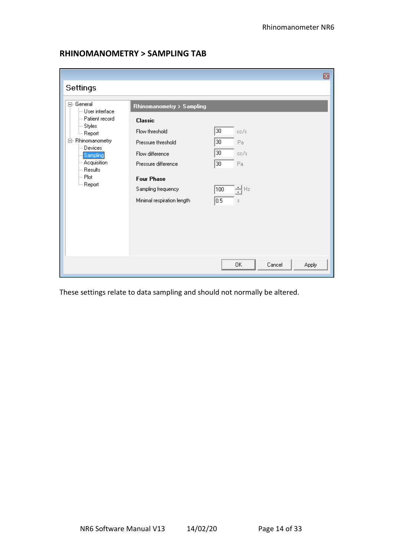|                                 |                            | ◙                     |
|---------------------------------|----------------------------|-----------------------|
| Settings                        |                            |                       |
| ⊟- General<br>└─ User interface | Rhinomanometry > Sampling  |                       |
| -- Patient record               | <b>Classic</b>             |                       |
| ⊱ Styles<br><sup>i</sup> Report | Flow threshold             | 30<br>cc/s            |
| 白 Rhinomanometry<br>Devices     | Pressure threshold         | $\overline{30}$<br>Pa |
| Sampling                        | Flow difference            | 30<br>cc/s            |
| Acquisition<br><b>Results</b>   | Pressure difference        | 30<br>Pa              |
| ⊸ Plot                          | <b>Four Phase</b>          |                       |
| <sub>…</sub> Report             | Sampling frequency         | ┥<br>100              |
|                                 | Minimal respiration length | 0.5<br>$\mathbb S$    |
|                                 |                            |                       |
|                                 |                            |                       |
|                                 |                            |                       |
|                                 |                            |                       |
|                                 |                            | Cancel                |
|                                 |                            | <b>Apply</b><br>0K    |

### **RHINOMANOMETRY > SAMPLING TAB**

These settings relate to data sampling and should not normally be altered.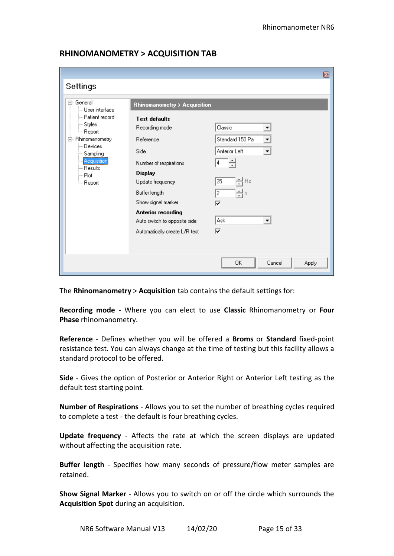|                                 |                                                    | ▣                            |
|---------------------------------|----------------------------------------------------|------------------------------|
| Settings                        |                                                    |                              |
| ⊟- General<br>└─ User interface | Rhinomanometry > Acquisition                       |                              |
| --- Patient record              | <b>Test defaults</b>                               |                              |
| ⊱ Styles<br><sub>i</sub> Report | Recording mode                                     | Classic                      |
| Rhinomanometry<br>F)            | Reference                                          | Standard 150 Pa              |
| — Devices<br>--- Sampling       | Side                                               | <b>Anterior Left</b><br>▼    |
| Acquisition                     | Number of respirations                             | 4                            |
| i— Results<br>l— Plot           | <b>Display</b>                                     |                              |
| <sub>≔</sub> Report             | Update frequency                                   | 25<br>Hz                     |
|                                 | Buffer length                                      | 2<br>$\mathbb S$             |
|                                 | Show signal marker                                 | ⊽                            |
|                                 | Anterior recording<br>Auto switch to opposite side | Ask                          |
|                                 | Automatically create L/R test                      | ⊽                            |
|                                 |                                                    |                              |
|                                 |                                                    |                              |
|                                 |                                                    | 0K<br>Cancel<br><b>Apply</b> |

### **RHINOMANOMETRY > ACQUISITION TAB**

The **Rhinomanometry** > **Acquisition** tab contains the default settings for:

**Recording mode** - Where you can elect to use **Classic** Rhinomanometry or **Four Phase** rhinomanometry.

**Reference** - Defines whether you will be offered a **Broms** or **Standard** fixed-point resistance test. You can always change at the time of testing but this facility allows a standard protocol to be offered.

**Side** - Gives the option of Posterior or Anterior Right or Anterior Left testing as the default test starting point.

**Number of Respirations** - Allows you to set the number of breathing cycles required to complete a test - the default is four breathing cycles.

**Update frequency** - Affects the rate at which the screen displays are updated without affecting the acquisition rate.

**Buffer length** - Specifies how many seconds of pressure/flow meter samples are retained.

**Show Signal Marker** - Allows you to switch on or off the circle which surrounds the **Acquisition Spot** during an acquisition.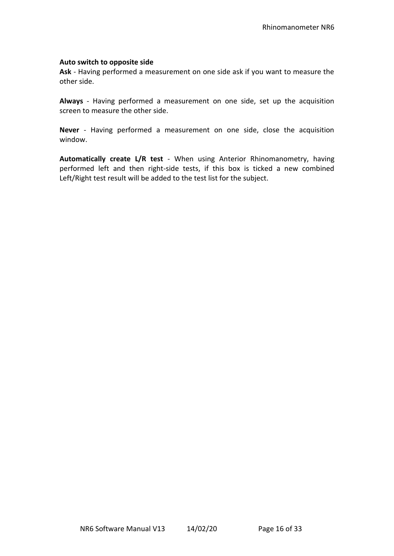#### **Auto switch to opposite side**

**Ask** - Having performed a measurement on one side ask if you want to measure the other side.

**Always** - Having performed a measurement on one side, set up the acquisition screen to measure the other side.

**Never** - Having performed a measurement on one side, close the acquisition window.

**Automatically create L/R test** - When using Anterior Rhinomanometry, having performed left and then right-side tests, if this box is ticked a new combined Left/Right test result will be added to the test list for the subject.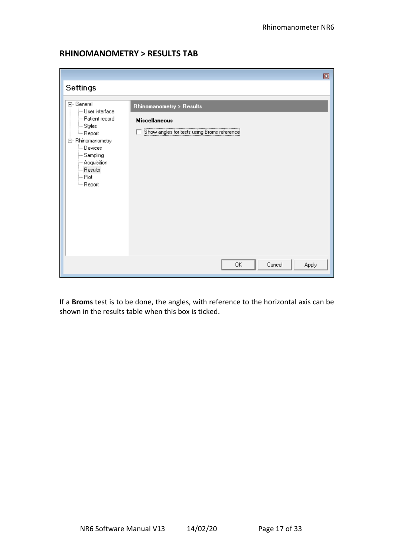### **RHINOMANOMETRY > RESULTS TAB**

|                                                                                                                                                                                                                                                     |                                                                                                 | ▣ |
|-----------------------------------------------------------------------------------------------------------------------------------------------------------------------------------------------------------------------------------------------------|-------------------------------------------------------------------------------------------------|---|
| Settings                                                                                                                                                                                                                                            |                                                                                                 |   |
| ⊟-General<br>lin User interface<br>- Patient record<br>$\sim$ Styles<br><sup>L…</sup> Report<br>白 Rhinomanometry<br>Devices<br>- Sampling<br>$-$ Acquisition<br>$\mathrel{\mathop{\longleftarrow}}$ Results<br>$\vdash$ Plot<br><sup>i</sup> Report | Rhinomanometry > Results<br><b>Miscellaneous</b><br>Show angles for tests using Broms reference |   |
|                                                                                                                                                                                                                                                     | Cancel<br>0K<br>Apply                                                                           |   |

If a **Broms** test is to be done, the angles, with reference to the horizontal axis can be shown in the results table when this box is ticked.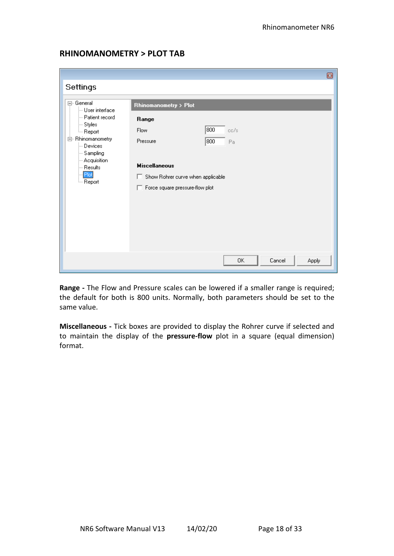### **RHINOMANOMETRY > PLOT TAB**

|                                                                                                                                                                                               | ▣                                                                                                                                                                                        |
|-----------------------------------------------------------------------------------------------------------------------------------------------------------------------------------------------|------------------------------------------------------------------------------------------------------------------------------------------------------------------------------------------|
| Settings                                                                                                                                                                                      |                                                                                                                                                                                          |
| ⊟- General<br>└─ User interface<br>- Patient record<br>- Styles<br><sup>i…</sup> Report<br>白 Rhinomanometry<br>— Devices<br>- Sampling<br>--- Acquisition<br>--- Results<br>Plot<br>└─ Report | Rhinomanometry > Plot<br>Range<br>800<br>Flow<br>cc/s<br>Pressure<br>800<br>Pa<br><b>Miscellaneous</b><br>Show Rohrer curve when applicable<br>п<br>Force square pressure-flow plot<br>п |
|                                                                                                                                                                                               | Cancel<br>0K<br>Apply                                                                                                                                                                    |

**Range -** The Flow and Pressure scales can be lowered if a smaller range is required; the default for both is 800 units. Normally, both parameters should be set to the same value.

**Miscellaneous -** Tick boxes are provided to display the Rohrer curve if selected and to maintain the display of the **pressure-flow** plot in a square (equal dimension) format.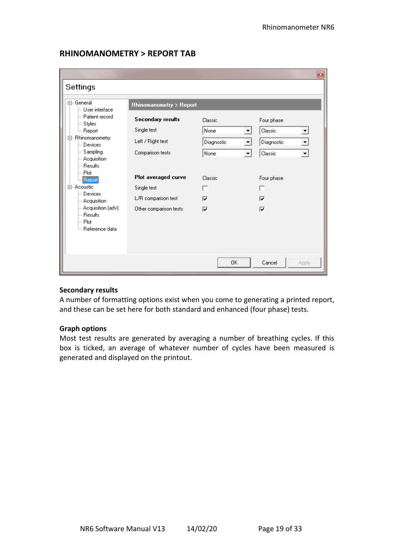### **RHINOMANOMETRY > REPORT TAB**

|                                                                                                                 |                                                              |                                          | $\mathbf{z}$                                  |
|-----------------------------------------------------------------------------------------------------------------|--------------------------------------------------------------|------------------------------------------|-----------------------------------------------|
| Settings                                                                                                        |                                                              |                                          |                                               |
| 日· General<br>└─ User interface                                                                                 | Rhinomanometry > Report                                      |                                          |                                               |
| - Patient record<br>├- Styles<br><sub>i</sub> Report<br>Rhinomanometry<br>F-<br>⊟ Devices                       | <b>Secondary results</b><br>Single test<br>Left / Right test | Classic<br>None<br>▼<br>Diagnostic<br>▾╎ | Four phase<br>Classic<br>▼<br>Diagnostic<br>▾ |
| — Sampling<br>- Acquisition<br>i— Results.<br>-- Plot                                                           | Comparison tests                                             | None<br>$\blacktriangledown$             | Classic<br>▾                                  |
| - Report                                                                                                        | Plot averaged curve                                          | Classic                                  | Four phase                                    |
| 白· Acoustic                                                                                                     | Single test                                                  |                                          | ┍                                             |
| └─ Devices<br>$-$ Acquisition                                                                                   | L/R comparison test                                          | ⊽                                        | ⊽                                             |
| - Acquisition (adv)<br>$\mathrel{\mathop{\longleftarrow}}$ Results.<br>i--- Plot<br><sup>i</sup> Reference data | Other comparison tests                                       | ⊽                                        | ⊽                                             |
|                                                                                                                 |                                                              | 0K                                       | Cancel<br>Apply                               |

#### **Secondary results**

A number of formatting options exist when you come to generating a printed report, and these can be set here for both standard and enhanced (four phase) tests.

#### **Graph options**

Most test results are generated by averaging a number of breathing cycles. If this box is ticked, an average of whatever number of cycles have been measured is generated and displayed on the printout.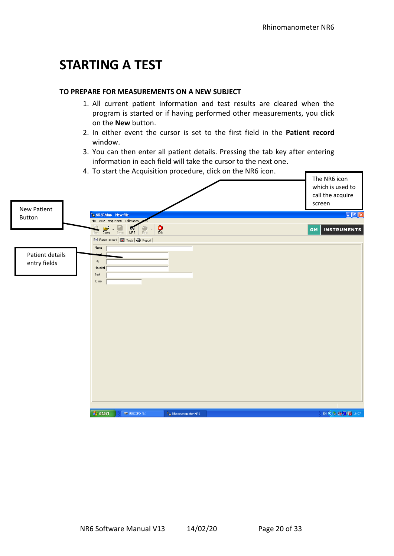### **STARTING A TEST**

#### **TO PREPARE FOR MEASUREMENTS ON A NEW SUBJECT**

- 1. All current patient information and test results are cleared when the program is started or if having performed other measurements, you click on the **New** button.
- 2. In either event the cursor is set to the first field in the **Patient record** window.
- 3. You can then enter all patient details. Pressing the tab key after entering information in each field will take the cursor to the next one.

|                    | 4. To start the Acquisition procedure, click on the NR6 icon.                                                            |                                                                |
|--------------------|--------------------------------------------------------------------------------------------------------------------------|----------------------------------------------------------------|
|                    |                                                                                                                          | The NR6 icon<br>which is used to<br>call the acquire<br>screen |
| <b>New Patient</b> | <b>E</b> NR6Rhino - New file                                                                                             | $\Box$ e $x$                                                   |
| Button             | File View Acquisition Calibration                                                                                        |                                                                |
|                    | يجے<br>$\frac{1}{\mathsf{E}\mathsf{g}\mathsf{it}}$<br>$\frac{D}{NRS}$<br>$Q_{\text{pen}}$<br>Save<br>Print<br><b>New</b> | <b>INSTRUMENTS</b><br><b>GM</b>                                |
|                    | Fill Patient record   7 Tests   4 Report                                                                                 |                                                                |
|                    | Name                                                                                                                     |                                                                |
| Patient details    |                                                                                                                          |                                                                |
| entry fields       | City<br>Hospital                                                                                                         |                                                                |
|                    | Test                                                                                                                     |                                                                |
|                    | ID no.                                                                                                                   |                                                                |
|                    |                                                                                                                          |                                                                |
|                    |                                                                                                                          |                                                                |
|                    |                                                                                                                          |                                                                |
|                    |                                                                                                                          |                                                                |
|                    |                                                                                                                          |                                                                |
|                    |                                                                                                                          |                                                                |
|                    |                                                                                                                          |                                                                |
|                    |                                                                                                                          |                                                                |
|                    |                                                                                                                          |                                                                |
|                    |                                                                                                                          |                                                                |
|                    |                                                                                                                          |                                                                |
|                    |                                                                                                                          |                                                                |
|                    |                                                                                                                          |                                                                |
|                    |                                                                                                                          |                                                                |
|                    | $H$ start<br>$\Rightarrow$ USB20FD (E:)<br>Rhinomanometer NR6                                                            | $EN(3)$ & $R$ $R$ $T$ 16:07                                    |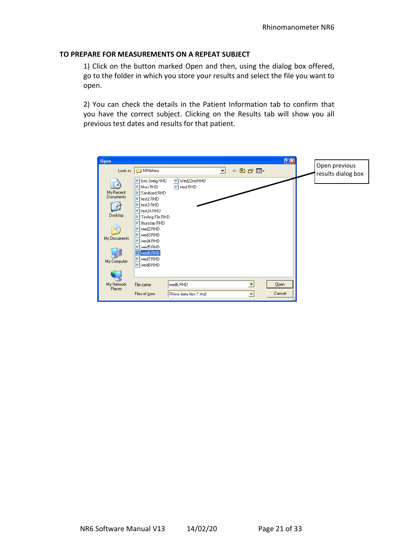#### **TO PREPARE FOR MEASUREMENTS ON A REPEAT SUBJECT**

1) Click on the button marked Open and then, using the dialog box offered, go to the folder in which you store your results and select the file you want to open.

2) You can check the details in the Patient Information tab to confirm that you have the correct subject. Clicking on the Results tab will show you all previous test dates and results for that patient.

| <b>Open</b><br>Look in:                                               | NR6rhino                                                                                                                                                                                                         |                                      | $\overline{\phantom{a}}$ | 白普丽<br>$\leftarrow$ | 28             | Open previous<br>results dialog box |
|-----------------------------------------------------------------------|------------------------------------------------------------------------------------------------------------------------------------------------------------------------------------------------------------------|--------------------------------------|--------------------------|---------------------|----------------|-------------------------------------|
| My Recent<br>Documents<br>в<br>Desktop<br>My Documents<br>My Computer | Eric Greig.RHD<br>Mon.RHD<br>Sanitised.RHD<br>B.<br>test2.RHD<br>test3.RHD<br>test24.RHD<br>Testing File.RHD<br>thursday.RHD<br>wed2.RHD<br>wed3.RHD<br>wed4.RHD<br>wed5.RHD<br>wed6.RHD<br>wed7.RHD<br>wed8.RHD | B Wed22nd.RHD<br>wed.RHD<br>g,       |                          |                     |                |                                     |
| My Network<br>Places                                                  | File name:<br>Files of type:                                                                                                                                                                                     | wed6.RHD<br>Rhino data files [".rhd] |                          | $\vert \cdot \vert$ | Qpen<br>Cancel |                                     |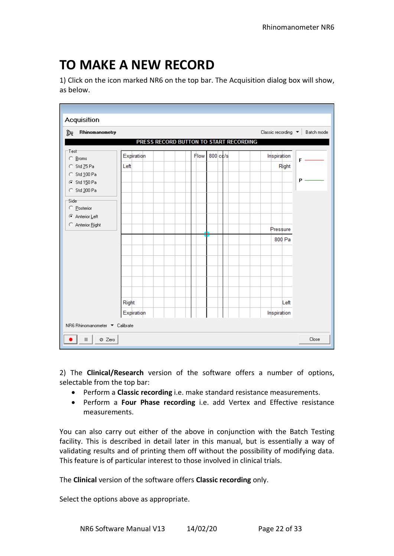# **TO MAKE A NEW RECORD**

1) Click on the icon marked NR6 on the top bar. The Acquisition dialog box will show, as below.

| Acquisition                                  |            |                                        |                                |
|----------------------------------------------|------------|----------------------------------------|--------------------------------|
| Rhinomanometry<br>ĵę                         |            |                                        | Classic recording ▼ Batch mode |
|                                              |            | PRESS RECORD BUTTON TO START RECORDING |                                |
| -Test<br>○ <u>B</u> roms                     | Expiration | 800 cc/s<br>Flow                       | Inspiration<br>$F \cdot$       |
| C Std Z5 Pa                                  | Left       |                                        | Right                          |
| C Std 100 Pa<br>⊙ Std 150 Pa<br>C Std 300 Pa |            |                                        | $P -$                          |
| Side <sup>-</sup><br>C Posterior             |            |                                        |                                |
| C Anterior Left                              |            |                                        |                                |
| Anterior Right                               |            |                                        | Pressure                       |
|                                              |            |                                        | 800 Pa                         |
|                                              |            |                                        |                                |
|                                              |            |                                        |                                |
|                                              |            |                                        |                                |
|                                              |            |                                        |                                |
|                                              |            |                                        |                                |
|                                              | Right      |                                        | Left                           |
|                                              | Expiration |                                        | Inspiration                    |
| NR6 Rhinomanometer ▼ Calibrate               |            |                                        |                                |
| Ø Zero                                       |            |                                        | Close                          |

2) The **Clinical/Research** version of the software offers a number of options, selectable from the top bar:

- Perform a **Classic recording** i.e. make standard resistance measurements.
- Perform a **Four Phase recording** i.e. add Vertex and Effective resistance measurements.

You can also carry out either of the above in conjunction with the Batch Testing facility. This is described in detail later in this manual, but is essentially a way of validating results and of printing them off without the possibility of modifying data. This feature is of particular interest to those involved in clinical trials.

#### The **Clinical** version of the software offers **Classic recording** only.

Select the options above as appropriate.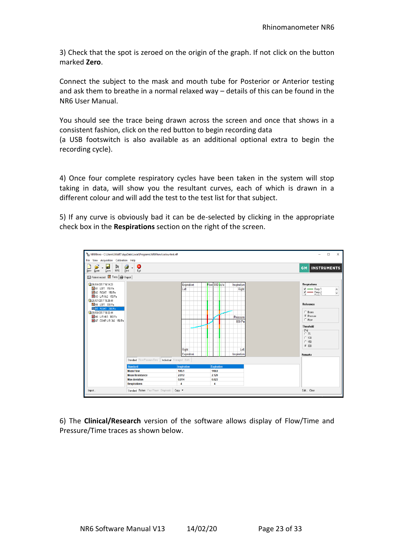3) Check that the spot is zeroed on the origin of the graph. If not click on the button marked **Zero**.

Connect the subject to the mask and mouth tube for Posterior or Anterior testing and ask them to breathe in a normal relaxed way – details of this can be found in the NR6 User Manual.

You should see the trace being drawn across the screen and once that shows in a consistent fashion, click on the red button to begin recording data

(a USB footswitch is also available as an additional optional extra to begin the recording cycle).

4) Once four complete respiratory cycles have been taken in the system will stop taking in data, will show you the resultant curves, each of which is drawn in a different colour and will add the test to the test list for that subject.

5) If any curve is obviously bad it can be de-selected by clicking in the appropriate check box in the **Respirations** section on the right of the screen.



6) The **Clinical/Research** version of the software allows display of Flow/Time and Pressure/Time traces as shown below.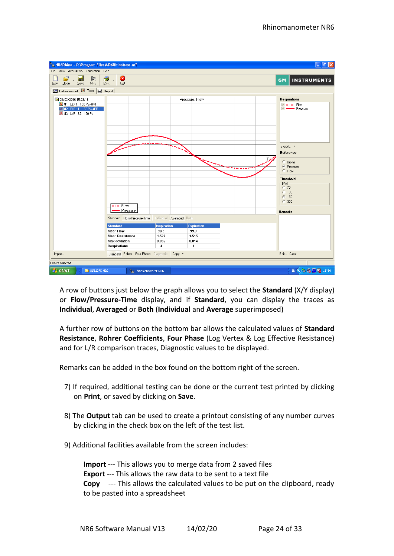

A row of buttons just below the graph allows you to select the **Standard** (X/Y display) or **Flow/Pressure-Time** display, and if **Standard**, you can display the traces as **Individual**, **Averaged** or **Both** (**Individual** and **Average** superimposed)

A further row of buttons on the bottom bar allows the calculated values of **Standard Resistance**, **Rohrer Coefficients**, **Four Phase** (Log Vertex & Log Effective Resistance) and for L/R comparison traces, Diagnostic values to be displayed.

Remarks can be added in the box found on the bottom right of the screen.

- 7) If required, additional testing can be done or the current test printed by clicking on **Print**, or saved by clicking on **Save**.
- 8) The **Output** tab can be used to create a printout consisting of any number curves by clicking in the check box on the left of the test list.
- 9) Additional facilities available from the screen includes:

**Import** --- This allows you to merge data from 2 saved files **Export** --- This allows the raw data to be sent to a text file **Copy** --- This allows the calculated values to be put on the clipboard, ready to be pasted into a spreadsheet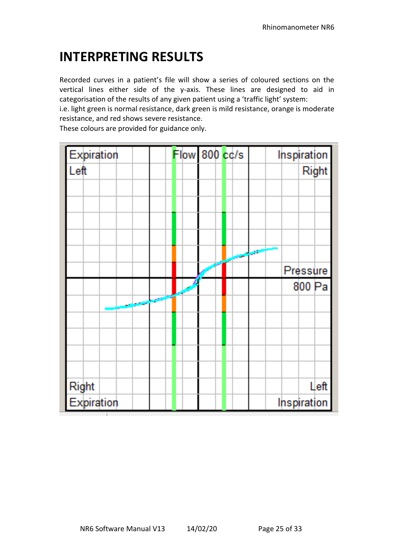# **INTERPRETING RESULTS**

Recorded curves in a patient's file will show a series of coloured sections on the vertical lines either side of the y-axis. These lines are designed to aid in categorisation of the results of any given patient using a 'traffic light' system:

i.e. light green is normal resistance, dark green is mild resistance, orange is moderate resistance, and red shows severe resistance.

These colours are provided for guidance only.

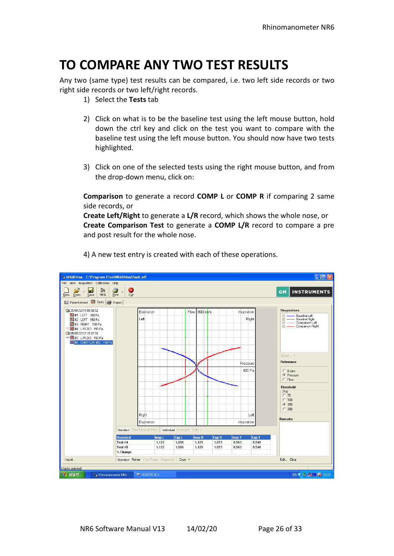# **TO COMPARE ANY TWO TEST RESULTS**

Any two (same type) test results can be compared, i.e. two left side records or two right side records or two left/right records.

- 1) Select the **Tests** tab
- 2) Click on what is to be the baseline test using the left mouse button, hold down the ctrl key and click on the test you want to compare with the baseline test using the left mouse button. You should now have two tests highlighted.
- 3) Click on one of the selected tests using the right mouse button, and from the drop-down menu, click on:

**Comparison** to generate a record **COMP L** or **COMP R** if comparing 2 same side records, or

**Create Left/Right** to generate a **L/R** record, which shows the whole nose, or **Create Comparison Test** to generate a **COMP L/R** record to compare a pre and post result for the whole nose.



4) A new test entry is created with each of these operations.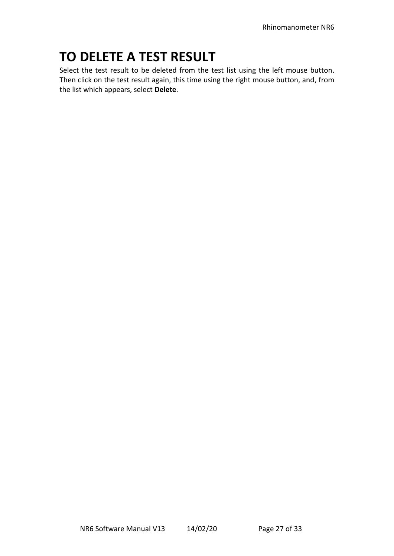# **TO DELETE A TEST RESULT**

Select the test result to be deleted from the test list using the left mouse button. Then click on the test result again, this time using the right mouse button, and, from the list which appears, select **Delete**.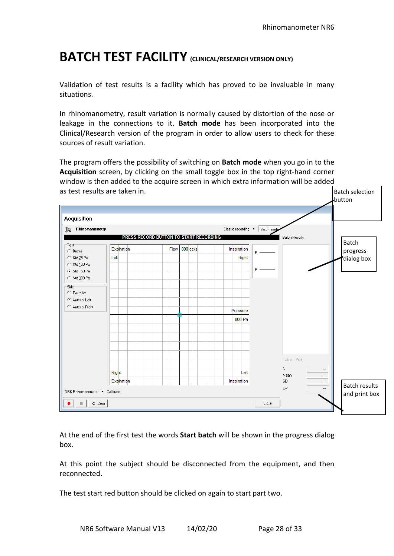## **BATCH TEST FACILITY (CLINICAL/RESEARCH VERSION ONLY)**

Validation of test results is a facility which has proved to be invaluable in many situations.

In rhinomanometry, result variation is normally caused by distortion of the nose or leakage in the connections to it. **Batch mode** has been incorporated into the Clinical/Research version of the program in order to allow users to check for these sources of result variation.

The program offers the possibility of switching on **Batch mode** when you go in to the **Acquisition** screen, by clicking on the small toggle box in the top right-hand corner window is then added to the acquire screen in which extra information will be added as test results are taken in. Batch selection



At the end of the first test the words **Start batch** will be shown in the progress dialog box.

At this point the subject should be disconnected from the equipment, and then reconnected.

The test start red button should be clicked on again to start part two.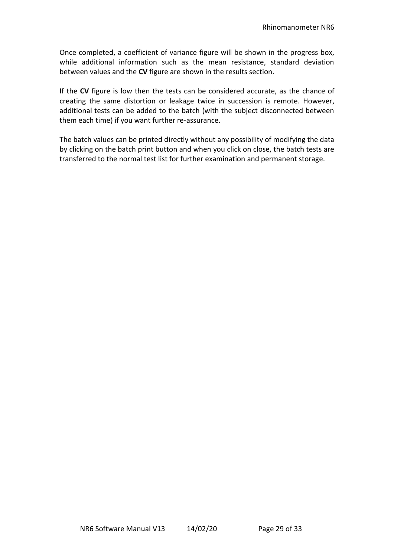Once completed, a coefficient of variance figure will be shown in the progress box, while additional information such as the mean resistance, standard deviation between values and the **CV** figure are shown in the results section.

If the **CV** figure is low then the tests can be considered accurate, as the chance of creating the same distortion or leakage twice in succession is remote. However, additional tests can be added to the batch (with the subject disconnected between them each time) if you want further re-assurance.

The batch values can be printed directly without any possibility of modifying the data by clicking on the batch print button and when you click on close, the batch tests are transferred to the normal test list for further examination and permanent storage.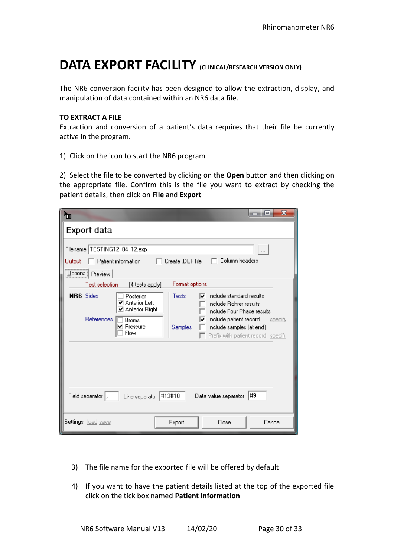### **DATA EXPORT FACILITY (CLINICAL/RESEARCH VERSION ONLY)**

The NR6 conversion facility has been designed to allow the extraction, display, and manipulation of data contained within an NR6 data file.

#### **TO EXTRACT A FILE**

Extraction and conversion of a patient's data requires that their file be currently active in the program.

1) Click on the icon to start the NR6 program

2) Select the file to be converted by clicking on the **Open** button and then clicking on the appropriate file. Confirm this is the file you want to extract by checking the patient details, then click on **File** and **Export**

| •ա                                                                                                                 |                         |                                                                                                                                                                                        | ×<br>$\qquad \qquad \blacksquare$ |
|--------------------------------------------------------------------------------------------------------------------|-------------------------|----------------------------------------------------------------------------------------------------------------------------------------------------------------------------------------|-----------------------------------|
| Export data                                                                                                        |                         |                                                                                                                                                                                        |                                   |
| Filename TESTING12_04_12.exp<br>$\Box$ Patient information<br>Output                                               | Create .DEF file        | Column headers                                                                                                                                                                         | $\cdots$                          |
| <b>Options</b> Preview<br>Test selection<br>[4 tests apply]                                                        | Format options          |                                                                                                                                                                                        |                                   |
| <b>NR6</b> Sides<br>Posterior<br>Anterior Left<br>✔<br>☑ Anterior Right<br>References<br>Broms<br>Pressure<br>Flow | Tests<br><b>Samples</b> | Include standard results<br>⊽<br>Include Rohrer results<br>Include Four Phase results<br>Include patient record<br>⊽<br>Include samples (at end)<br>Prefix with patient record specify | specify                           |
| Field separator  ,<br>Line separator                                                                               | #13#10                  | Data value separator                                                                                                                                                                   | #9                                |
| Settings: load save                                                                                                | Export                  | Close                                                                                                                                                                                  | Cancel                            |

- 3) The file name for the exported file will be offered by default
- 4) If you want to have the patient details listed at the top of the exported file click on the tick box named **Patient information**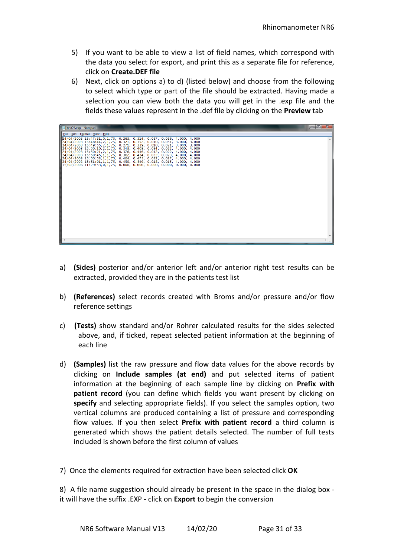- 5) If you want to be able to view a list of field names, which correspond with the data you select for export, and print this as a separate file for reference, click on **Create.DEF file**
- 6) Next, click on options a) to d) (listed below) and choose from the following to select which type or part of the file should be extracted. Having made a selection you can view both the data you will get in the .exp file and the fields these values represent in the .def file by clicking on the **Preview** tab

| test24.exp - Notepad                                                                                                                                                                                                                                                                                                                                                                                                                                                                                                                                                                                                                                                                                       | a Bi |
|------------------------------------------------------------------------------------------------------------------------------------------------------------------------------------------------------------------------------------------------------------------------------------------------------------------------------------------------------------------------------------------------------------------------------------------------------------------------------------------------------------------------------------------------------------------------------------------------------------------------------------------------------------------------------------------------------------|------|
| File Edit Format View Help                                                                                                                                                                                                                                                                                                                                                                                                                                                                                                                                                                                                                                                                                 |      |
| 24/04/2003 15:47:31.0.1.75, 0.263, 0.314, 0.037, 0.036, 4.000, 4.000<br>  24/04/2003 15:48:44, 2, 1, 75, 0.321, 0.352, 0.010, 0.051, 3.000, 3.000<br>$\parallel$ 24/04/2003 15:49:55,2,1,75, 0.271, 0.339, 0.010, 0.021, 3.000, 3.000<br>24/04/2003 15:50:10, 2, 1, 75, 0.343, 0.408, 0.034, 0.022, 4.000, 4.000<br>#24/04/2003 15:50:21,2,1,75, 0.376, 0.446, 0.012, 0.022, 4.000, 4.000<br>$\parallel$ 24/04/2003 15:50:45.1.1.75, 0.362, 0.434, 0.032, 0.023, 4.000, 4.000<br>24/04/2003 15:50:53, 1, 1, 75, 0.404, 0.475, 0.022, 0.017, 4.000, 4.000<br>  24/04/2003 15:51:01,1,1,75, 0.450, 0.549, 0.018, 0.015, 4.000, 4.000<br>15/02/2006 11:29:53.0.1.75, 0.000, 0.000, 0.000, 0.000, 0.000, 0.000 |      |
|                                                                                                                                                                                                                                                                                                                                                                                                                                                                                                                                                                                                                                                                                                            |      |

- a) **(Sides)** posterior and/or anterior left and/or anterior right test results can be extracted, provided they are in the patients test list
- b) **(References)** select records created with Broms and/or pressure and/or flow reference settings
- c) **(Tests)** show standard and/or Rohrer calculated results for the sides selected above, and, if ticked, repeat selected patient information at the beginning of each line
- d) **(Samples)** list the raw pressure and flow data values for the above records by clicking on **Include samples (at end)** and put selected items of patient information at the beginning of each sample line by clicking on **Prefix with patient record** (you can define which fields you want present by clicking on **specify** and selecting appropriate fields). If you select the samples option, two vertical columns are produced containing a list of pressure and corresponding flow values. If you then select **Prefix with patient record** a third column is generated which shows the patient details selected. The number of full tests included is shown before the first column of values
- 7) Once the elements required for extraction have been selected click **OK**

8) A file name suggestion should already be present in the space in the dialog box it will have the suffix .EXP - click on **Export** to begin the conversion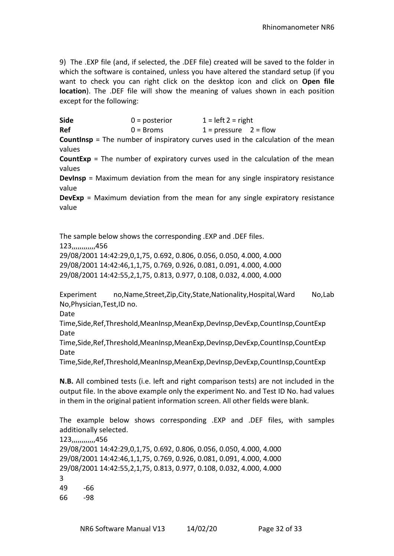9) The .EXP file (and, if selected, the .DEF file) created will be saved to the folder in which the software is contained, unless you have altered the standard setup (if you want to check you can right click on the desktop icon and click on **Open file location**). The .DEF file will show the meaning of values shown in each position except for the following:

Side 0 = posterior 1 = left 2 = right **Ref** 0 = Broms  $1 = \text{pressure}$  2 = flow **Countinsp** = The number of inspiratory curves used in the calculation of the mean values **CountExp** = The number of expiratory curves used in the calculation of the mean values **DevInsp** = Maximum deviation from the mean for any single inspiratory resistance value **DevExp** = Maximum deviation from the mean for any single expiratory resistance

The sample below shows the corresponding .EXP and .DEF files. 123,,,,,,,,,,,,456 29/08/2001 14:42:29,0,1,75, 0.692, 0.806, 0.056, 0.050, 4.000, 4.000 29/08/2001 14:42:46,1,1,75, 0.769, 0.926, 0.081, 0.091, 4.000, 4.000 29/08/2001 14:42:55,2,1,75, 0.813, 0.977, 0.108, 0.032, 4.000, 4.000

Experiment no,Name,Street,Zip,City,State,Nationality,Hospital,Ward No,Lab No,Physician,Test,ID no.

Date

value

Time,Side,Ref,Threshold,MeanInsp,MeanExp,DevInsp,DevExp,CountInsp,CountExp Date

Time,Side,Ref,Threshold,MeanInsp,MeanExp,DevInsp,DevExp,CountInsp,CountExp Date

Time,Side,Ref,Threshold,MeanInsp,MeanExp,DevInsp,DevExp,CountInsp,CountExp

**N.B.** All combined tests (i.e. left and right comparison tests) are not included in the output file. In the above example only the experiment No. and Test ID No. had values in them in the original patient information screen. All other fields were blank.

The example below shows corresponding .EXP and .DEF files, with samples additionally selected.

123,,,,,,,,,,,,456 29/08/2001 14:42:29,0,1,75, 0.692, 0.806, 0.056, 0.050, 4.000, 4.000 29/08/2001 14:42:46,1,1,75, 0.769, 0.926, 0.081, 0.091, 4.000, 4.000 29/08/2001 14:42:55,2,1,75, 0.813, 0.977, 0.108, 0.032, 4.000, 4.000 3 49 -66 66 -98